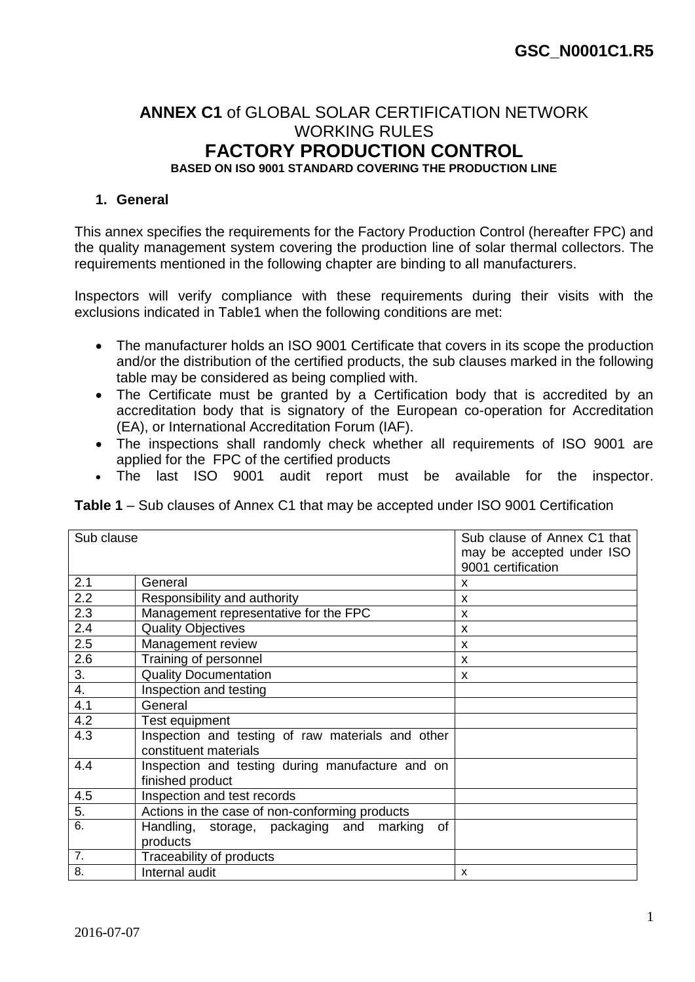### **ANNEX C1** of GLOBAL SOLAR CERTIFICATION NETWORK WORKING RULES **FACTORY PRODUCTION CONTROL BASED ON ISO 9001 STANDARD COVERING THE PRODUCTION LINE**

#### **1. General**

This annex specifies the requirements for the Factory Production Control (hereafter FPC) and the quality management system covering the production line of solar thermal collectors. The requirements mentioned in the following chapter are binding to all manufacturers.

Inspectors will verify compliance with these requirements during their visits with the exclusions indicated in Table1 when the following conditions are met:

- The manufacturer holds an ISO 9001 Certificate that covers in its scope the production and/or the distribution of the certified products, the sub clauses marked in the following table may be considered as being complied with.
- The Certificate must be granted by a Certification body that is accredited by an accreditation body that is signatory of the European co-operation for Accreditation (EA), or International Accreditation Forum (IAF).
- The inspections shall randomly check whether all requirements of ISO 9001 are applied for the FPC of the certified products
- The last ISO 9001 audit report must be available for the inspector.

**Table 1** – Sub clauses of Annex C1 that may be accepted under ISO 9001 Certification

| Sub clause       |                                                                            | Sub clause of Annex C1 that<br>may be accepted under ISO<br>9001 certification |
|------------------|----------------------------------------------------------------------------|--------------------------------------------------------------------------------|
| 2.1              | General                                                                    | X                                                                              |
| 2.2              | Responsibility and authority                                               | x                                                                              |
| 2.3              | Management representative for the FPC                                      | X                                                                              |
| 2.4              | <b>Quality Objectives</b>                                                  | X                                                                              |
| 2.5              | Management review                                                          | X                                                                              |
| 2.6              | Training of personnel                                                      | X                                                                              |
| 3.               | <b>Quality Documentation</b>                                               | X                                                                              |
| 4.               | Inspection and testing                                                     |                                                                                |
| 4.1              | General                                                                    |                                                                                |
| 4.2              | Test equipment                                                             |                                                                                |
| 4.3              | Inspection and testing of raw materials and other<br>constituent materials |                                                                                |
| 4.4              | Inspection and testing during manufacture and on<br>finished product       |                                                                                |
| 4.5              | Inspection and test records                                                |                                                                                |
| 5.               | Actions in the case of non-conforming products                             |                                                                                |
| 6.               | of<br>Handling, storage, packaging and marking<br>products                 |                                                                                |
| $\overline{7}$ . | Traceability of products                                                   |                                                                                |
| 8.               | Internal audit                                                             | X                                                                              |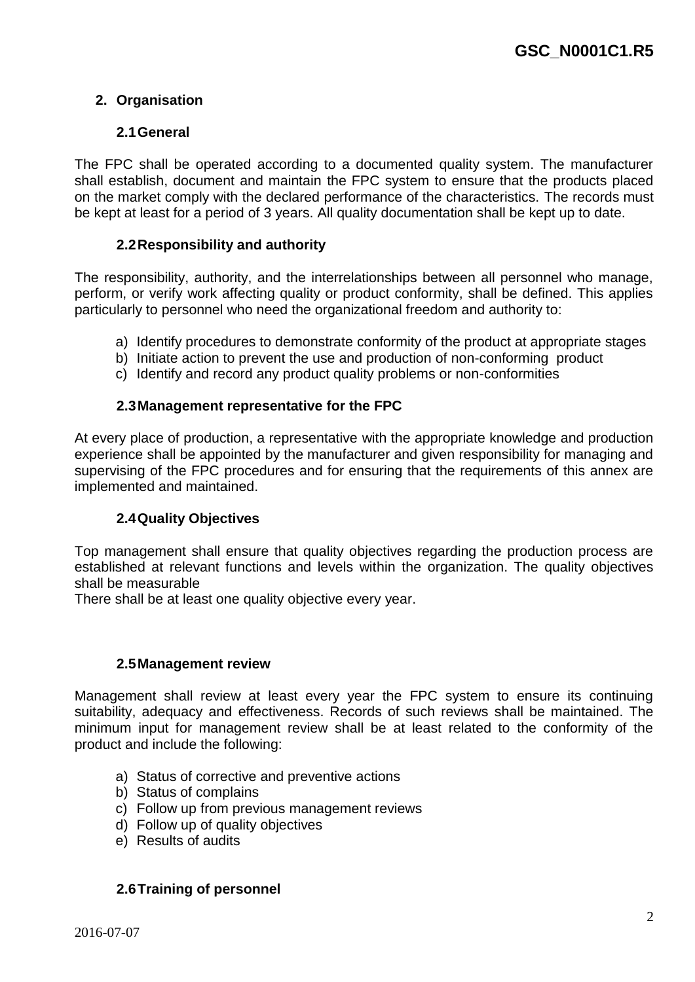### **2. Organisation**

#### **2.1General**

The FPC shall be operated according to a documented quality system. The manufacturer shall establish, document and maintain the FPC system to ensure that the products placed on the market comply with the declared performance of the characteristics. The records must be kept at least for a period of 3 years. All quality documentation shall be kept up to date.

#### **2.2Responsibility and authority**

The responsibility, authority, and the interrelationships between all personnel who manage, perform, or verify work affecting quality or product conformity, shall be defined. This applies particularly to personnel who need the organizational freedom and authority to:

- a) Identify procedures to demonstrate conformity of the product at appropriate stages
- b) Initiate action to prevent the use and production of non-conforming product
- c) Identify and record any product quality problems or non-conformities

#### **2.3Management representative for the FPC**

At every place of production, a representative with the appropriate knowledge and production experience shall be appointed by the manufacturer and given responsibility for managing and supervising of the FPC procedures and for ensuring that the requirements of this annex are implemented and maintained.

#### **2.4Quality Objectives**

Top management shall ensure that quality objectives regarding the production process are established at relevant functions and levels within the organization. The quality objectives shall be measurable

There shall be at least one quality objective every year.

#### **2.5Management review**

Management shall review at least every year the FPC system to ensure its continuing suitability, adequacy and effectiveness. Records of such reviews shall be maintained. The minimum input for management review shall be at least related to the conformity of the product and include the following:

- a) Status of corrective and preventive actions
- b) Status of complains
- c) Follow up from previous management reviews
- d) Follow up of quality objectives
- e) Results of audits

#### **2.6Training of personnel**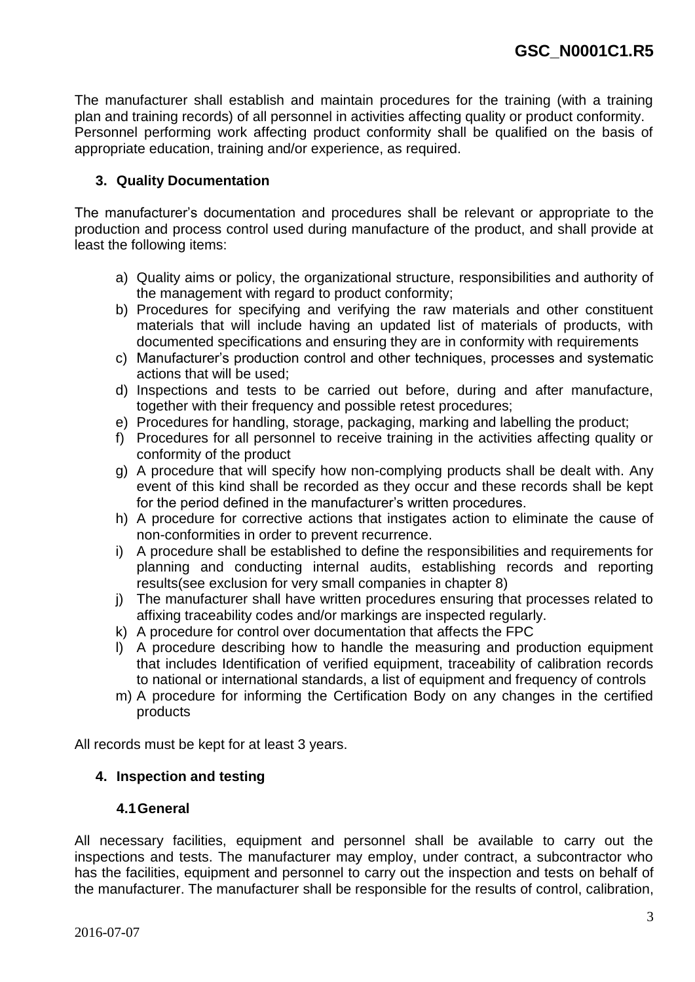The manufacturer shall establish and maintain procedures for the training (with a training plan and training records) of all personnel in activities affecting quality or product conformity. Personnel performing work affecting product conformity shall be qualified on the basis of appropriate education, training and/or experience, as required.

### **3. Quality Documentation**

The manufacturer's documentation and procedures shall be relevant or appropriate to the production and process control used during manufacture of the product, and shall provide at least the following items:

- a) Quality aims or policy, the organizational structure, responsibilities and authority of the management with regard to product conformity;
- b) Procedures for specifying and verifying the raw materials and other constituent materials that will include having an updated list of materials of products, with documented specifications and ensuring they are in conformity with requirements
- c) Manufacturer's production control and other techniques, processes and systematic actions that will be used;
- d) Inspections and tests to be carried out before, during and after manufacture, together with their frequency and possible retest procedures;
- e) Procedures for handling, storage, packaging, marking and labelling the product;
- f) Procedures for all personnel to receive training in the activities affecting quality or conformity of the product
- g) A procedure that will specify how non-complying products shall be dealt with. Any event of this kind shall be recorded as they occur and these records shall be kept for the period defined in the manufacturer's written procedures.
- h) A procedure for corrective actions that instigates action to eliminate the cause of non-conformities in order to prevent recurrence.
- i) A procedure shall be established to define the responsibilities and requirements for planning and conducting internal audits, establishing records and reporting results(see exclusion for very small companies in chapter 8)
- j) The manufacturer shall have written procedures ensuring that processes related to affixing traceability codes and/or markings are inspected regularly.
- k) A procedure for control over documentation that affects the FPC
- l) A procedure describing how to handle the measuring and production equipment that includes Identification of verified equipment, traceability of calibration records to national or international standards, a list of equipment and frequency of controls
- m) A procedure for informing the Certification Body on any changes in the certified products

All records must be kept for at least 3 years.

### **4. Inspection and testing**

#### **4.1General**

All necessary facilities, equipment and personnel shall be available to carry out the inspections and tests. The manufacturer may employ, under contract, a subcontractor who has the facilities, equipment and personnel to carry out the inspection and tests on behalf of the manufacturer. The manufacturer shall be responsible for the results of control, calibration,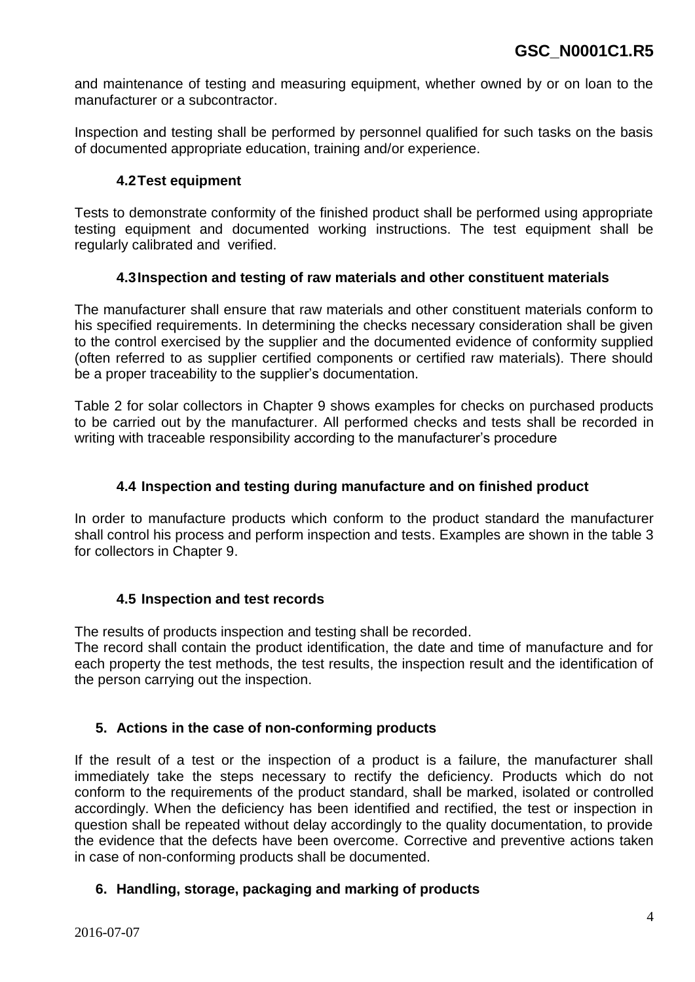and maintenance of testing and measuring equipment, whether owned by or on loan to the manufacturer or a subcontractor.

Inspection and testing shall be performed by personnel qualified for such tasks on the basis of documented appropriate education, training and/or experience.

#### **4.2Test equipment**

Tests to demonstrate conformity of the finished product shall be performed using appropriate testing equipment and documented working instructions. The test equipment shall be regularly calibrated and verified.

#### **4.3Inspection and testing of raw materials and other constituent materials**

The manufacturer shall ensure that raw materials and other constituent materials conform to his specified requirements. In determining the checks necessary consideration shall be given to the control exercised by the supplier and the documented evidence of conformity supplied (often referred to as supplier certified components or certified raw materials). There should be a proper traceability to the supplier's documentation.

Table 2 for solar collectors in Chapter 9 shows examples for checks on purchased products to be carried out by the manufacturer. All performed checks and tests shall be recorded in writing with traceable responsibility according to the manufacturer's procedure

#### **4.4 Inspection and testing during manufacture and on finished product**

In order to manufacture products which conform to the product standard the manufacturer shall control his process and perform inspection and tests. Examples are shown in the table 3 for collectors in Chapter 9.

#### **4.5 Inspection and test records**

The results of products inspection and testing shall be recorded.

The record shall contain the product identification, the date and time of manufacture and for each property the test methods, the test results, the inspection result and the identification of the person carrying out the inspection.

### **5. Actions in the case of non-conforming products**

If the result of a test or the inspection of a product is a failure, the manufacturer shall immediately take the steps necessary to rectify the deficiency. Products which do not conform to the requirements of the product standard, shall be marked, isolated or controlled accordingly. When the deficiency has been identified and rectified, the test or inspection in question shall be repeated without delay accordingly to the quality documentation, to provide the evidence that the defects have been overcome. Corrective and preventive actions taken in case of non-conforming products shall be documented.

### **6. Handling, storage, packaging and marking of products**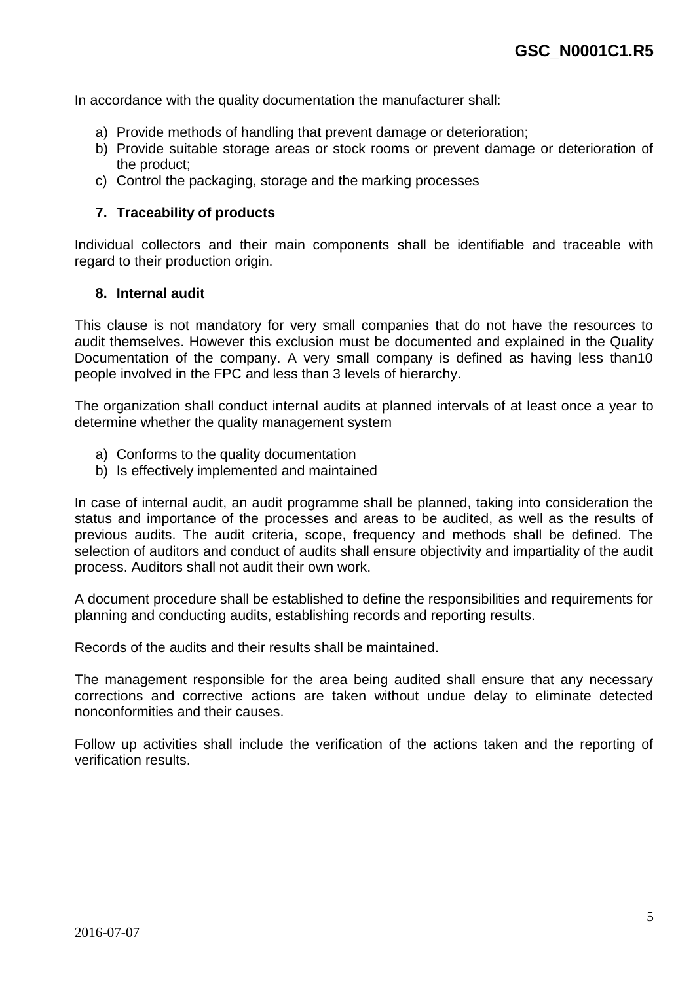In accordance with the quality documentation the manufacturer shall:

- a) Provide methods of handling that prevent damage or deterioration;
- b) Provide suitable storage areas or stock rooms or prevent damage or deterioration of the product;
- c) Control the packaging, storage and the marking processes

#### **7. Traceability of products**

Individual collectors and their main components shall be identifiable and traceable with regard to their production origin.

#### **8. Internal audit**

This clause is not mandatory for very small companies that do not have the resources to audit themselves. However this exclusion must be documented and explained in the Quality Documentation of the company. A very small company is defined as having less than10 people involved in the FPC and less than 3 levels of hierarchy.

The organization shall conduct internal audits at planned intervals of at least once a year to determine whether the quality management system

- a) Conforms to the quality documentation
- b) Is effectively implemented and maintained

In case of internal audit, an audit programme shall be planned, taking into consideration the status and importance of the processes and areas to be audited, as well as the results of previous audits. The audit criteria, scope, frequency and methods shall be defined. The selection of auditors and conduct of audits shall ensure objectivity and impartiality of the audit process. Auditors shall not audit their own work.

A document procedure shall be established to define the responsibilities and requirements for planning and conducting audits, establishing records and reporting results.

Records of the audits and their results shall be maintained.

The management responsible for the area being audited shall ensure that any necessary corrections and corrective actions are taken without undue delay to eliminate detected nonconformities and their causes.

Follow up activities shall include the verification of the actions taken and the reporting of verification results.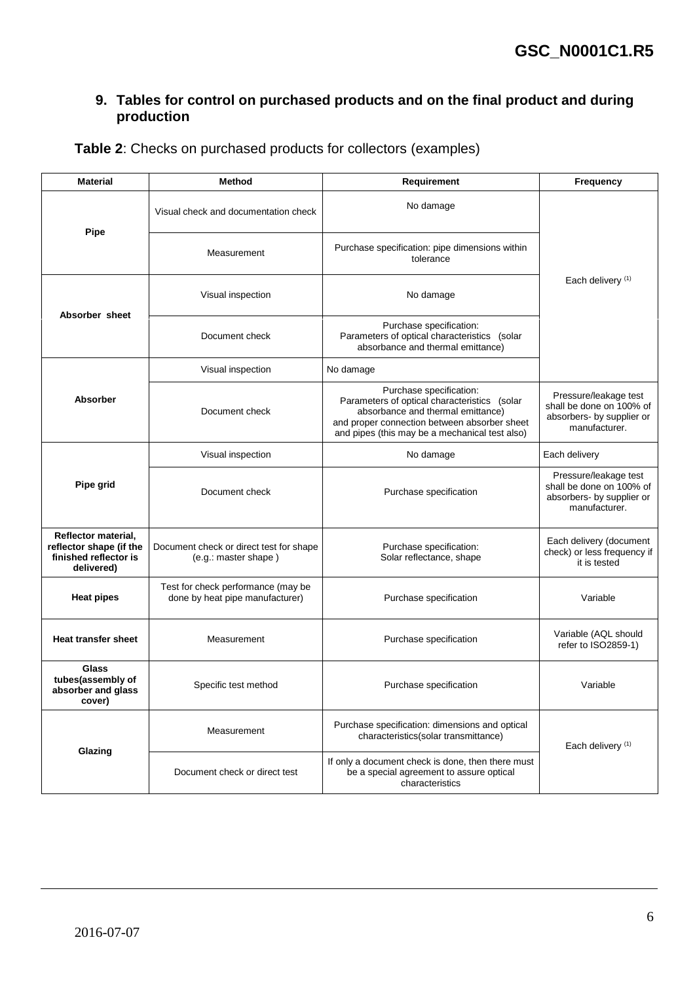### **9. Tables for control on purchased products and on the final product and during production**

| <b>Material</b>                                                                       | Method                                                                | Requirement                                                                                                                                                                                                    | Frequency                                                                                       |
|---------------------------------------------------------------------------------------|-----------------------------------------------------------------------|----------------------------------------------------------------------------------------------------------------------------------------------------------------------------------------------------------------|-------------------------------------------------------------------------------------------------|
|                                                                                       | Visual check and documentation check                                  | No damage                                                                                                                                                                                                      |                                                                                                 |
| Pipe                                                                                  | Measurement                                                           | Purchase specification: pipe dimensions within<br>tolerance                                                                                                                                                    |                                                                                                 |
|                                                                                       | Visual inspection                                                     | No damage                                                                                                                                                                                                      | Each delivery <sup>(1)</sup>                                                                    |
| Absorber sheet                                                                        | Document check                                                        | Purchase specification:<br>Parameters of optical characteristics (solar<br>absorbance and thermal emittance)                                                                                                   |                                                                                                 |
|                                                                                       | Visual inspection                                                     | No damage                                                                                                                                                                                                      |                                                                                                 |
| <b>Absorber</b>                                                                       | Document check                                                        | Purchase specification:<br>Parameters of optical characteristics (solar<br>absorbance and thermal emittance)<br>and proper connection between absorber sheet<br>and pipes (this may be a mechanical test also) | Pressure/leakage test<br>shall be done on 100% of<br>absorbers- by supplier or<br>manufacturer. |
| Pipe grid                                                                             | Visual inspection                                                     | No damage                                                                                                                                                                                                      | Each delivery                                                                                   |
|                                                                                       | Document check                                                        | Purchase specification                                                                                                                                                                                         | Pressure/leakage test<br>shall be done on 100% of<br>absorbers- by supplier or<br>manufacturer. |
| Reflector material,<br>reflector shape (if the<br>finished reflector is<br>delivered) | Document check or direct test for shape<br>(e.g.: master shape)       | Purchase specification:<br>Solar reflectance, shape                                                                                                                                                            | Each delivery (document<br>check) or less frequency if<br>it is tested                          |
| <b>Heat pipes</b>                                                                     | Test for check performance (may be<br>done by heat pipe manufacturer) | Purchase specification                                                                                                                                                                                         | Variable                                                                                        |
| <b>Heat transfer sheet</b>                                                            | Measurement                                                           | Purchase specification                                                                                                                                                                                         | Variable (AQL should<br>refer to ISO2859-1)                                                     |
| Glass<br>tubes(assembly of<br>absorber and glass<br>cover)                            | Specific test method                                                  | Purchase specification                                                                                                                                                                                         | Variable                                                                                        |
| Glazing                                                                               | Measurement                                                           | Purchase specification: dimensions and optical<br>characteristics(solar transmittance)                                                                                                                         | Each delivery <sup>(1)</sup>                                                                    |
|                                                                                       | Document check or direct test                                         | If only a document check is done, then there must<br>be a special agreement to assure optical<br>characteristics                                                                                               |                                                                                                 |

**Table 2**: Checks on purchased products for collectors (examples)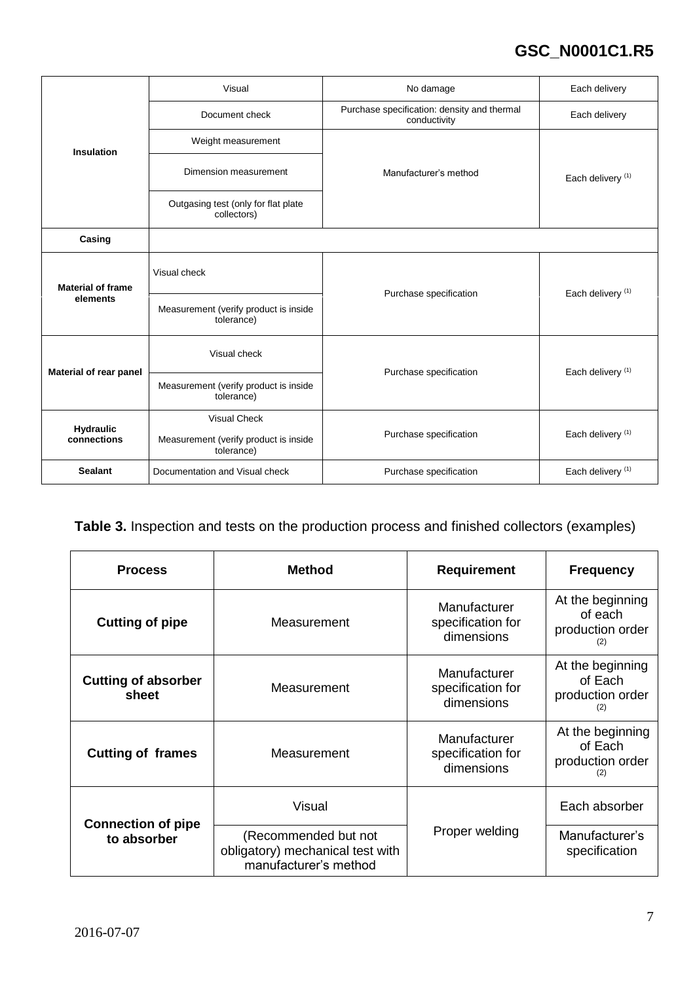# **GSC\_N0001C1.R5**

|                          | Visual                                              | No damage                                                   | Each delivery                |
|--------------------------|-----------------------------------------------------|-------------------------------------------------------------|------------------------------|
|                          | Document check                                      | Purchase specification: density and thermal<br>conductivity | Each delivery                |
| <b>Insulation</b>        | Weight measurement                                  |                                                             |                              |
|                          | Dimension measurement                               | Manufacturer's method                                       | Each delivery <sup>(1)</sup> |
|                          | Outgasing test (only for flat plate<br>collectors)  |                                                             |                              |
| Casing                   |                                                     |                                                             |                              |
| <b>Material of frame</b> | Visual check                                        | Purchase specification                                      | Each delivery <sup>(1)</sup> |
| elements                 | Measurement (verify product is inside<br>tolerance) |                                                             |                              |
| Material of rear panel   | Visual check                                        | Purchase specification                                      | Each delivery <sup>(1)</sup> |
|                          | Measurement (verify product is inside<br>tolerance) |                                                             |                              |
| <b>Hydraulic</b>         | <b>Visual Check</b>                                 |                                                             |                              |
| connections              | Measurement (verify product is inside<br>tolerance) | Purchase specification                                      | Each delivery <sup>(1)</sup> |
| <b>Sealant</b>           | Documentation and Visual check                      | Purchase specification                                      | Each delivery <sup>(1)</sup> |

## **Table 3.** Inspection and tests on the production process and finished collectors (examples)

| <b>Process</b>                      | <b>Method</b>                                                                     | <b>Requirement</b>                                     | <b>Frequency</b>                                       |
|-------------------------------------|-----------------------------------------------------------------------------------|--------------------------------------------------------|--------------------------------------------------------|
| <b>Cutting of pipe</b>              | Measurement                                                                       | <b>Manufacturer</b><br>specification for<br>dimensions | At the beginning<br>of each<br>production order        |
| <b>Cutting of absorber</b><br>sheet | Measurement                                                                       | Manufacturer<br>specification for<br>dimensions        | At the beginning<br>of Each<br>production order<br>(2) |
| <b>Cutting of frames</b>            | Measurement                                                                       | Manufacturer<br>specification for<br>dimensions        | At the beginning<br>of Each<br>production order<br>(2) |
| <b>Connection of pipe</b>           | Visual                                                                            |                                                        | Each absorber                                          |
| to absorber                         | (Recommended but not<br>obligatory) mechanical test with<br>manufacturer's method | Proper welding                                         | Manufacturer's<br>specification                        |